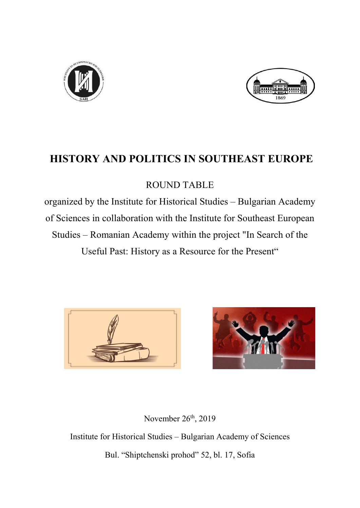



# HISTORY AND POLITICS IN SOUTHEAST EUROPE

### ROUND TABLE

organized by the Institute for Historical Studies – Bulgarian Academy of Sciences in collaboration with the Institute for Southeast European Studies – Romanian Academy within the project "In Search of the Useful Past: History as a Resource for the Present"





November  $26<sup>th</sup>$ , 2019

Institute for Historical Studies – Bulgarian Academy of Sciences Bul. "Shiptchenski prohod" 52, bl. 17, Sofia